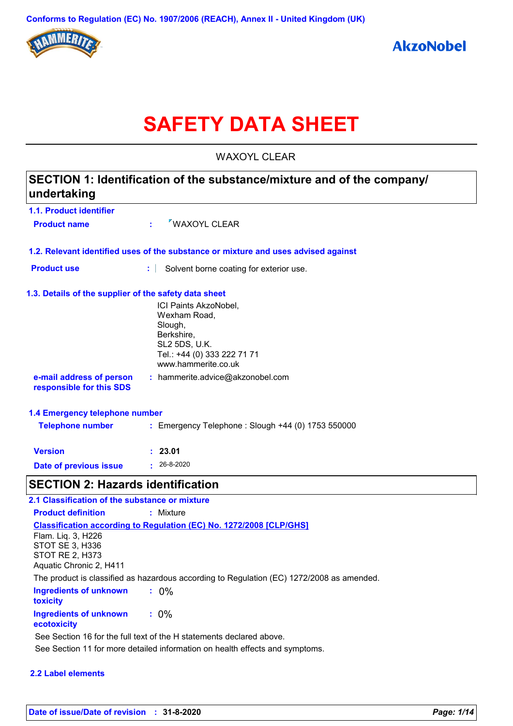

# **SAFETY DATA SHEET**

WAXOYL CLEAR

| SECTION 1: Identification of the substance/mixture and of the company/<br>undertaking |                                                                                    |  |  |  |
|---------------------------------------------------------------------------------------|------------------------------------------------------------------------------------|--|--|--|
| 1.1. Product identifier                                                               |                                                                                    |  |  |  |
| <b>Product name</b>                                                                   | WAXOYL CLEAR                                                                       |  |  |  |
|                                                                                       | 1.2. Relevant identified uses of the substance or mixture and uses advised against |  |  |  |
| <b>Product use</b>                                                                    | Solvent borne coating for exterior use.<br>÷                                       |  |  |  |
| 1.3. Details of the supplier of the safety data sheet                                 |                                                                                    |  |  |  |
|                                                                                       | ICI Paints AkzoNobel,                                                              |  |  |  |
|                                                                                       | Wexham Road,<br>Slough,                                                            |  |  |  |
|                                                                                       | Berkshire,                                                                         |  |  |  |
|                                                                                       | <b>SL2 5DS, U.K.</b>                                                               |  |  |  |
|                                                                                       | Tel.: +44 (0) 333 222 71 71<br>www.hammerite.co.uk                                 |  |  |  |
| e-mail address of person<br>responsible for this SDS                                  | : hammerite.advice@akzonobel.com                                                   |  |  |  |
| 1.4 Emergency telephone number                                                        |                                                                                    |  |  |  |
| <b>Telephone number</b>                                                               | : Emergency Telephone : Slough +44 (0) 1753 550000                                 |  |  |  |
| <b>Version</b>                                                                        | : 23.01                                                                            |  |  |  |
| <b>Date of previous issue</b>                                                         | $: 26 - 8 - 2020$                                                                  |  |  |  |
| <b>SECTION 2: Hazards identification</b>                                              |                                                                                    |  |  |  |
| 2.1 Classification of the substance or mixture                                        |                                                                                    |  |  |  |

| .1 Classification of the substance or mixture |                                                                                           |  |  |  |
|-----------------------------------------------|-------------------------------------------------------------------------------------------|--|--|--|
| <b>Product definition</b>                     | : Mixture                                                                                 |  |  |  |
|                                               | <b>Classification according to Regulation (EC) No. 1272/2008 [CLP/GHS]</b>                |  |  |  |
| Flam. Lig. 3, H226                            |                                                                                           |  |  |  |
| STOT SE 3, H336                               |                                                                                           |  |  |  |
| <b>STOT RE 2, H373</b>                        |                                                                                           |  |  |  |
| Aquatic Chronic 2, H411                       |                                                                                           |  |  |  |
|                                               | The product is classified as hazardous according to Regulation (EC) 1272/2008 as amended. |  |  |  |
| Ingredients of unknown<br>toxicity            | $: 0\%$                                                                                   |  |  |  |
| <b>Ingredients of unknown</b><br>ecotoxicity  | $: 0\%$                                                                                   |  |  |  |
|                                               | See Section 16 for the full text of the H statements declared above.                      |  |  |  |
|                                               | See Section 11 for more detailed information on health effects and symptoms.              |  |  |  |
|                                               |                                                                                           |  |  |  |

#### **2.2 Label elements**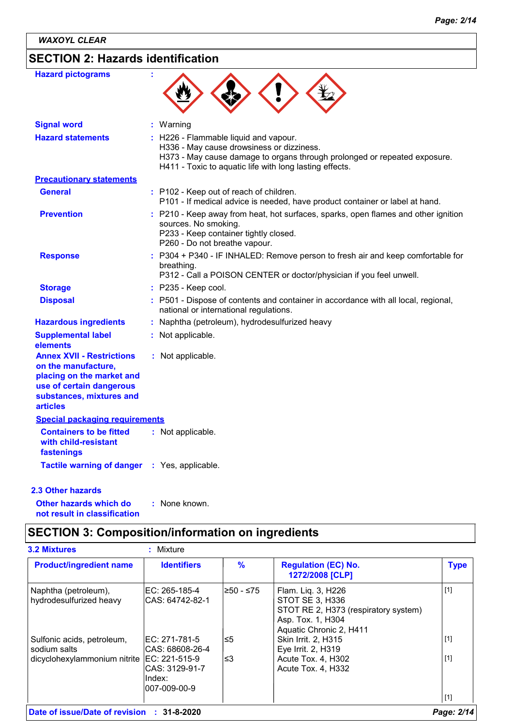# **SECTION 2: Hazards identification**

| <b>Hazard pictograms</b>                                                                                                                                        | ÷                                                                                                                                                                                                                          |
|-----------------------------------------------------------------------------------------------------------------------------------------------------------------|----------------------------------------------------------------------------------------------------------------------------------------------------------------------------------------------------------------------------|
| <b>Signal word</b>                                                                                                                                              | : Warning                                                                                                                                                                                                                  |
| <b>Hazard statements</b>                                                                                                                                        | : H226 - Flammable liquid and vapour.<br>H336 - May cause drowsiness or dizziness.<br>H373 - May cause damage to organs through prolonged or repeated exposure.<br>H411 - Toxic to aquatic life with long lasting effects. |
| <b>Precautionary statements</b>                                                                                                                                 |                                                                                                                                                                                                                            |
| <b>General</b>                                                                                                                                                  | : P102 - Keep out of reach of children.<br>P101 - If medical advice is needed, have product container or label at hand.                                                                                                    |
| <b>Prevention</b>                                                                                                                                               | : P210 - Keep away from heat, hot surfaces, sparks, open flames and other ignition<br>sources. No smoking.<br>P233 - Keep container tightly closed.<br>P260 - Do not breathe vapour.                                       |
| <b>Response</b>                                                                                                                                                 | : P304 + P340 - IF INHALED: Remove person to fresh air and keep comfortable for<br>breathing.<br>P312 - Call a POISON CENTER or doctor/physician if you feel unwell.                                                       |
| <b>Storage</b>                                                                                                                                                  | $:$ P235 - Keep cool.                                                                                                                                                                                                      |
| <b>Disposal</b>                                                                                                                                                 | : P501 - Dispose of contents and container in accordance with all local, regional,<br>national or international regulations.                                                                                               |
| <b>Hazardous ingredients</b>                                                                                                                                    | Naphtha (petroleum), hydrodesulfurized heavy                                                                                                                                                                               |
| <b>Supplemental label</b><br>elements                                                                                                                           | : Not applicable.                                                                                                                                                                                                          |
| <b>Annex XVII - Restrictions</b><br>on the manufacture,<br>placing on the market and<br>use of certain dangerous<br>substances, mixtures and<br><b>articles</b> | : Not applicable.                                                                                                                                                                                                          |
| <b>Special packaging requirements</b>                                                                                                                           |                                                                                                                                                                                                                            |
| <b>Containers to be fitted</b><br>with child-resistant<br>fastenings                                                                                            | : Not applicable.                                                                                                                                                                                                          |
| <b>Tactile warning of danger</b>                                                                                                                                | : Yes, applicable.                                                                                                                                                                                                         |

### **2.3 Other hazards**

**Other hazards which do : not result in classification** : None known.

# **SECTION 3: Composition/information on ingredients**

| <b>Product/ingredient name</b>                  | <b>Identifiers</b>                                           | $\frac{9}{6}$ | <b>Regulation (EC) No.</b><br>1272/2008 [CLP]                                                                                 | <b>Type</b> |
|-------------------------------------------------|--------------------------------------------------------------|---------------|-------------------------------------------------------------------------------------------------------------------------------|-------------|
| Naphtha (petroleum),<br>hydrodesulfurized heavy | IEC: 265-185-4<br>CAS: 64742-82-1                            | l≥50 - ≤75    | Flam. Lig. 3, H226<br>STOT SE 3, H336<br>STOT RE 2, H373 (respiratory system)<br>Asp. Tox. 1, H304<br>Aquatic Chronic 2, H411 | $[1]$       |
| Sulfonic acids, petroleum,<br>sodium salts      | IEC: 271-781-5<br>ICAS: 68608-26-4                           | l≤5           | Skin Irrit. 2, H315<br>Eye Irrit. 2, H319                                                                                     | $[1]$       |
| dicyclohexylammonium nitrite                    | EC: 221-515-9<br>ICAS: 3129-91-7<br>lIndex:<br>l007-009-00-9 | l≤3           | Acute Tox. 4, H302<br>Acute Tox. 4, H332                                                                                      | $[1]$       |
|                                                 |                                                              |               |                                                                                                                               | $[1]$       |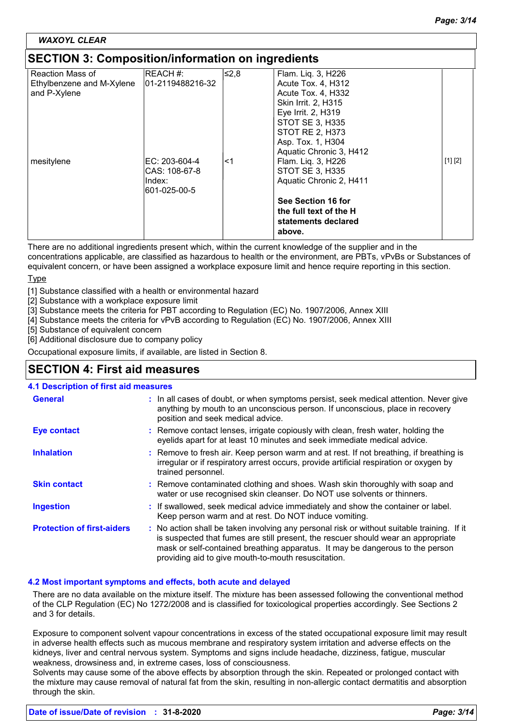#### *WAXOYL CLEAR*

### **SECTION 3: Composition/information on ingredients**

| <u>ses non s. sompositionmusemation on ingredictio</u> |                  |       |                         |         |
|--------------------------------------------------------|------------------|-------|-------------------------|---------|
| <b>Reaction Mass of</b>                                | REACH #:         | 8,2≥∥ | Flam. Liq. 3, H226      |         |
| Ethylbenzene and M-Xylene                              | 01-2119488216-32 |       | Acute Tox. 4, H312      |         |
| and P-Xylene                                           |                  |       | Acute Tox. 4, H332      |         |
|                                                        |                  |       | Skin Irrit. 2, H315     |         |
|                                                        |                  |       | Eye Irrit. 2, H319      |         |
|                                                        |                  |       | STOT SE 3, H335         |         |
|                                                        |                  |       | STOT RE 2, H373         |         |
|                                                        |                  |       | Asp. Tox. 1, H304       |         |
|                                                        |                  |       | Aquatic Chronic 3, H412 |         |
| mesitylene                                             | IEC: 203-604-4   | <1    | Flam. Liq. 3, H226      | [1] [2] |
|                                                        | CAS: 108-67-8    |       | STOT SE 3, H335         |         |
|                                                        | Index:           |       | Aquatic Chronic 2, H411 |         |
|                                                        | 601-025-00-5     |       |                         |         |
|                                                        |                  |       | See Section 16 for      |         |
|                                                        |                  |       | the full text of the H  |         |
|                                                        |                  |       | statements declared     |         |
|                                                        |                  |       | above.                  |         |

There are no additional ingredients present which, within the current knowledge of the supplier and in the concentrations applicable, are classified as hazardous to health or the environment, are PBTs, vPvBs or Substances of equivalent concern, or have been assigned a workplace exposure limit and hence require reporting in this section.

#### Type

[1] Substance classified with a health or environmental hazard

[2] Substance with a workplace exposure limit

[3] Substance meets the criteria for PBT according to Regulation (EC) No. 1907/2006, Annex XIII

[4] Substance meets the criteria for vPvB according to Regulation (EC) No. 1907/2006, Annex XIII

[5] Substance of equivalent concern

[6] Additional disclosure due to company policy

Occupational exposure limits, if available, are listed in Section 8.

### **SECTION 4: First aid measures**

#### **4.1 Description of first aid measures**

| <b>General</b>                    | : In all cases of doubt, or when symptoms persist, seek medical attention. Never give<br>anything by mouth to an unconscious person. If unconscious, place in recovery<br>position and seek medical advice.                                                                                                             |
|-----------------------------------|-------------------------------------------------------------------------------------------------------------------------------------------------------------------------------------------------------------------------------------------------------------------------------------------------------------------------|
| <b>Eye contact</b>                | : Remove contact lenses, irrigate copiously with clean, fresh water, holding the<br>eyelids apart for at least 10 minutes and seek immediate medical advice.                                                                                                                                                            |
| <b>Inhalation</b>                 | : Remove to fresh air. Keep person warm and at rest. If not breathing, if breathing is<br>irregular or if respiratory arrest occurs, provide artificial respiration or oxygen by<br>trained personnel.                                                                                                                  |
| <b>Skin contact</b>               | : Remove contaminated clothing and shoes. Wash skin thoroughly with soap and<br>water or use recognised skin cleanser. Do NOT use solvents or thinners.                                                                                                                                                                 |
| <b>Ingestion</b>                  | : If swallowed, seek medical advice immediately and show the container or label.<br>Keep person warm and at rest. Do NOT induce vomiting.                                                                                                                                                                               |
| <b>Protection of first-aiders</b> | : No action shall be taken involving any personal risk or without suitable training. If it<br>is suspected that fumes are still present, the rescuer should wear an appropriate<br>mask or self-contained breathing apparatus. It may be dangerous to the person<br>providing aid to give mouth-to-mouth resuscitation. |

#### **4.2 Most important symptoms and effects, both acute and delayed**

There are no data available on the mixture itself. The mixture has been assessed following the conventional method of the CLP Regulation (EC) No 1272/2008 and is classified for toxicological properties accordingly. See Sections 2 and 3 for details.

Exposure to component solvent vapour concentrations in excess of the stated occupational exposure limit may result in adverse health effects such as mucous membrane and respiratory system irritation and adverse effects on the kidneys, liver and central nervous system. Symptoms and signs include headache, dizziness, fatigue, muscular weakness, drowsiness and, in extreme cases, loss of consciousness.

Solvents may cause some of the above effects by absorption through the skin. Repeated or prolonged contact with the mixture may cause removal of natural fat from the skin, resulting in non-allergic contact dermatitis and absorption through the skin.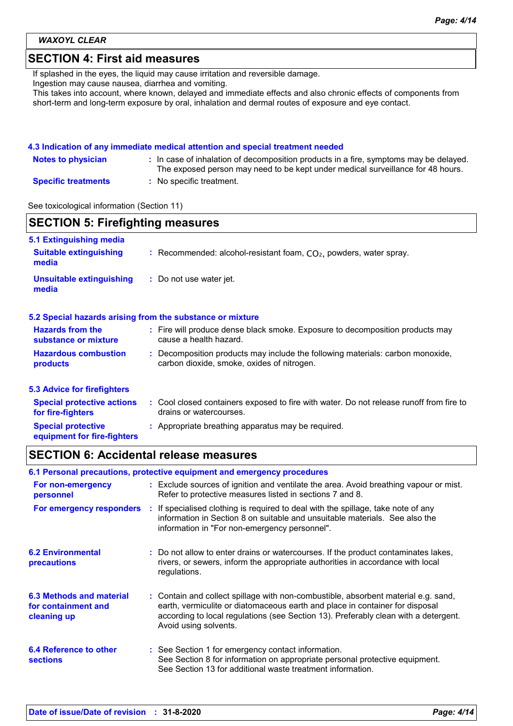*WAXOYL CLEAR*

## **SECTION 4: First aid measures**

If splashed in the eyes, the liquid may cause irritation and reversible damage.

Ingestion may cause nausea, diarrhea and vomiting.

This takes into account, where known, delayed and immediate effects and also chronic effects of components from short-term and long-term exposure by oral, inhalation and dermal routes of exposure and eye contact.

#### **4.3 Indication of any immediate medical attention and special treatment needed**

| <b>Notes to physician</b>  | : In case of inhalation of decomposition products in a fire, symptoms may be delayed.<br>The exposed person may need to be kept under medical surveillance for 48 hours. |
|----------------------------|--------------------------------------------------------------------------------------------------------------------------------------------------------------------------|
| <b>Specific treatments</b> | : No specific treatment.                                                                                                                                                 |

See toxicological information (Section 11)

| <b>SECTION 5: Firefighting measures</b>                           |                                                                                                                              |  |  |  |
|-------------------------------------------------------------------|------------------------------------------------------------------------------------------------------------------------------|--|--|--|
| 5.1 Extinguishing media<br><b>Suitable extinguishing</b><br>media | : Recommended: alcohol-resistant foam, $CO2$ , powders, water spray.                                                         |  |  |  |
| <b>Unsuitable extinguishing</b><br>media                          | : Do not use water jet.                                                                                                      |  |  |  |
|                                                                   | 5.2 Special hazards arising from the substance or mixture                                                                    |  |  |  |
| <b>Hazards from the</b><br>substance or mixture                   | : Fire will produce dense black smoke. Exposure to decomposition products may<br>cause a health hazard.                      |  |  |  |
| <b>Hazardous combustion</b><br>products                           | : Decomposition products may include the following materials: carbon monoxide,<br>carbon dioxide, smoke, oxides of nitrogen. |  |  |  |
| <b>5.3 Advice for firefighters</b>                                |                                                                                                                              |  |  |  |
| <b>Special protective actions</b><br>for fire-fighters            | : Cool closed containers exposed to fire with water. Do not release runoff from fire to<br>drains or watercourses.           |  |  |  |
| <b>Special protective</b><br>equipment for fire-fighters          | : Appropriate breathing apparatus may be required.                                                                           |  |  |  |

# **SECTION 6: Accidental release measures**

|                                                                | 6.1 Personal precautions, protective equipment and emergency procedures                                                                                                                                                                                                            |
|----------------------------------------------------------------|------------------------------------------------------------------------------------------------------------------------------------------------------------------------------------------------------------------------------------------------------------------------------------|
| For non-emergency<br>personnel                                 | : Exclude sources of ignition and ventilate the area. Avoid breathing vapour or mist.<br>Refer to protective measures listed in sections 7 and 8.                                                                                                                                  |
| For emergency responders                                       | : If specialised clothing is required to deal with the spillage, take note of any<br>information in Section 8 on suitable and unsuitable materials. See also the<br>information in "For non-emergency personnel".                                                                  |
| <b>6.2 Environmental</b><br>precautions                        | : Do not allow to enter drains or watercourses. If the product contaminates lakes,<br>rivers, or sewers, inform the appropriate authorities in accordance with local<br>regulations.                                                                                               |
| 6.3 Methods and material<br>for containment and<br>cleaning up | : Contain and collect spillage with non-combustible, absorbent material e.g. sand,<br>earth, vermiculite or diatomaceous earth and place in container for disposal<br>according to local regulations (see Section 13). Preferably clean with a detergent.<br>Avoid using solvents. |
| 6.4 Reference to other<br><b>sections</b>                      | : See Section 1 for emergency contact information.<br>See Section 8 for information on appropriate personal protective equipment.<br>See Section 13 for additional waste treatment information.                                                                                    |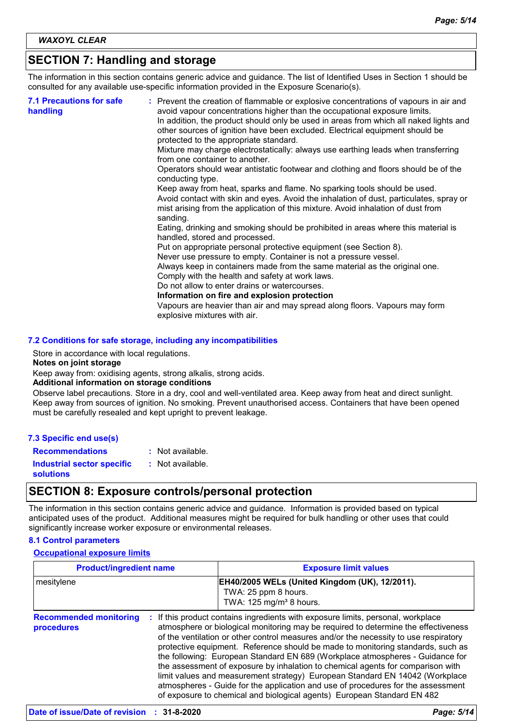# **SECTION 7: Handling and storage**

The information in this section contains generic advice and guidance. The list of Identified Uses in Section 1 should be consulted for any available use-specific information provided in the Exposure Scenario(s).

| <b>7.1 Precautions for safe</b><br>handling | : Prevent the creation of flammable or explosive concentrations of vapours in air and<br>avoid vapour concentrations higher than the occupational exposure limits.<br>In addition, the product should only be used in areas from which all naked lights and<br>other sources of ignition have been excluded. Electrical equipment should be<br>protected to the appropriate standard.<br>Mixture may charge electrostatically: always use earthing leads when transferring<br>from one container to another.<br>Operators should wear antistatic footwear and clothing and floors should be of the<br>conducting type.<br>Keep away from heat, sparks and flame. No sparking tools should be used.<br>Avoid contact with skin and eyes. Avoid the inhalation of dust, particulates, spray or<br>mist arising from the application of this mixture. Avoid inhalation of dust from<br>sanding.<br>Eating, drinking and smoking should be prohibited in areas where this material is<br>handled, stored and processed.<br>Put on appropriate personal protective equipment (see Section 8).<br>Never use pressure to empty. Container is not a pressure vessel.<br>Always keep in containers made from the same material as the original one.<br>Comply with the health and safety at work laws.<br>Do not allow to enter drains or watercourses.<br>Information on fire and explosion protection<br>Vapours are heavier than air and may spread along floors. Vapours may form |
|---------------------------------------------|------------------------------------------------------------------------------------------------------------------------------------------------------------------------------------------------------------------------------------------------------------------------------------------------------------------------------------------------------------------------------------------------------------------------------------------------------------------------------------------------------------------------------------------------------------------------------------------------------------------------------------------------------------------------------------------------------------------------------------------------------------------------------------------------------------------------------------------------------------------------------------------------------------------------------------------------------------------------------------------------------------------------------------------------------------------------------------------------------------------------------------------------------------------------------------------------------------------------------------------------------------------------------------------------------------------------------------------------------------------------------------------------------------------------------------------------------------------------------|
|                                             | explosive mixtures with air.                                                                                                                                                                                                                                                                                                                                                                                                                                                                                                                                                                                                                                                                                                                                                                                                                                                                                                                                                                                                                                                                                                                                                                                                                                                                                                                                                                                                                                                 |

#### **7.2 Conditions for safe storage, including any incompatibilities**

Store in accordance with local regulations.

#### **Notes on joint storage**

Keep away from: oxidising agents, strong alkalis, strong acids.

#### **Additional information on storage conditions**

Observe label precautions. Store in a dry, cool and well-ventilated area. Keep away from heat and direct sunlight. Keep away from sources of ignition. No smoking. Prevent unauthorised access. Containers that have been opened must be carefully resealed and kept upright to prevent leakage.

**Recommendations :** Not available.

**Industrial sector specific :**

: Not available.

**solutions**

# **SECTION 8: Exposure controls/personal protection**

The information in this section contains generic advice and guidance. Information is provided based on typical anticipated uses of the product. Additional measures might be required for bulk handling or other uses that could significantly increase worker exposure or environmental releases.

### **8.1 Control parameters**

### **Occupational exposure limits**

| <b>Product/ingredient name</b><br>mesitylene |  | <b>Exposure limit values</b><br>EH40/2005 WELs (United Kingdom (UK), 12/2011).<br>TWA: 25 ppm 8 hours.<br>TWA: 125 mg/m <sup>3</sup> 8 hours. |  |
|----------------------------------------------|--|-----------------------------------------------------------------------------------------------------------------------------------------------|--|
|                                              |  |                                                                                                                                               |  |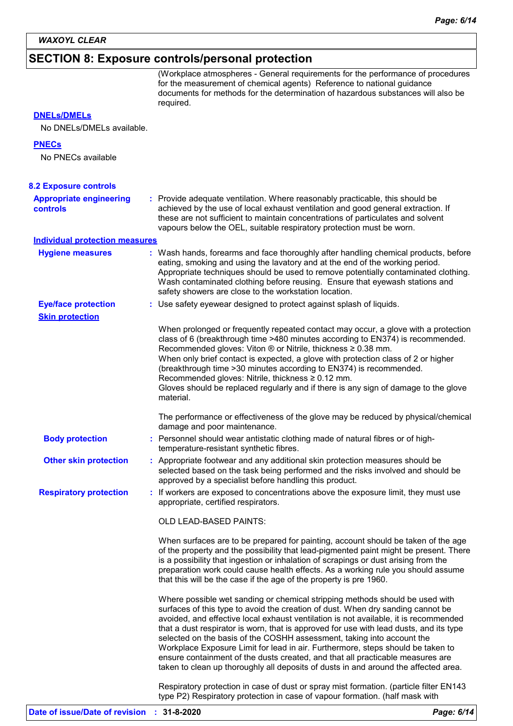### **SECTION 8: Exposure controls/personal protection**

| <b>DNELs/DMELs</b>                                   | (Workplace atmospheres - General requirements for the performance of procedures<br>for the measurement of chemical agents) Reference to national guidance<br>documents for methods for the determination of hazardous substances will also be<br>required.                                                                                                                                                                                                                                                                                                |
|------------------------------------------------------|-----------------------------------------------------------------------------------------------------------------------------------------------------------------------------------------------------------------------------------------------------------------------------------------------------------------------------------------------------------------------------------------------------------------------------------------------------------------------------------------------------------------------------------------------------------|
| No DNELs/DMELs available.                            |                                                                                                                                                                                                                                                                                                                                                                                                                                                                                                                                                           |
| <b>PNECs</b><br>No PNECs available                   |                                                                                                                                                                                                                                                                                                                                                                                                                                                                                                                                                           |
| <b>8.2 Exposure controls</b>                         |                                                                                                                                                                                                                                                                                                                                                                                                                                                                                                                                                           |
| <b>Appropriate engineering</b><br><b>controls</b>    | : Provide adequate ventilation. Where reasonably practicable, this should be<br>achieved by the use of local exhaust ventilation and good general extraction. If<br>these are not sufficient to maintain concentrations of particulates and solvent<br>vapours below the OEL, suitable respiratory protection must be worn.                                                                                                                                                                                                                               |
| <b>Individual protection measures</b>                |                                                                                                                                                                                                                                                                                                                                                                                                                                                                                                                                                           |
| <b>Hygiene measures</b>                              | : Wash hands, forearms and face thoroughly after handling chemical products, before<br>eating, smoking and using the lavatory and at the end of the working period.<br>Appropriate techniques should be used to remove potentially contaminated clothing.<br>Wash contaminated clothing before reusing. Ensure that eyewash stations and<br>safety showers are close to the workstation location.                                                                                                                                                         |
| <b>Eye/face protection</b><br><b>Skin protection</b> | : Use safety eyewear designed to protect against splash of liquids.                                                                                                                                                                                                                                                                                                                                                                                                                                                                                       |
|                                                      | When prolonged or frequently repeated contact may occur, a glove with a protection<br>class of 6 (breakthrough time >480 minutes according to EN374) is recommended.<br>Recommended gloves: Viton ® or Nitrile, thickness ≥ 0.38 mm.<br>When only brief contact is expected, a glove with protection class of 2 or higher<br>(breakthrough time > 30 minutes according to EN374) is recommended.<br>Recommended gloves: Nitrile, thickness ≥ 0.12 mm.<br>Gloves should be replaced regularly and if there is any sign of damage to the glove<br>material. |
|                                                      | The performance or effectiveness of the glove may be reduced by physical/chemical<br>damage and poor maintenance.                                                                                                                                                                                                                                                                                                                                                                                                                                         |
| <b>Body protection</b>                               | : Personnel should wear antistatic clothing made of natural fibres or of high-<br>temperature-resistant synthetic fibres.                                                                                                                                                                                                                                                                                                                                                                                                                                 |
| <b>Other skin protection</b>                         | : Appropriate footwear and any additional skin protection measures should be<br>selected based on the task being performed and the risks involved and should be<br>approved by a specialist before handling this product.                                                                                                                                                                                                                                                                                                                                 |
| <b>Respiratory protection</b>                        | : If workers are exposed to concentrations above the exposure limit, they must use<br>appropriate, certified respirators.                                                                                                                                                                                                                                                                                                                                                                                                                                 |
|                                                      | OLD LEAD-BASED PAINTS:                                                                                                                                                                                                                                                                                                                                                                                                                                                                                                                                    |
|                                                      | When surfaces are to be prepared for painting, account should be taken of the age                                                                                                                                                                                                                                                                                                                                                                                                                                                                         |

red for painting, account should be taken of the age of the property and the possibility that lead-pigmented paint might be present. There is a possibility that ingestion or inhalation of scrapings or dust arising from the preparation work could cause health effects. As a working rule you should assume that this will be the case if the age of the property is pre 1960.

Where possible wet sanding or chemical stripping methods should be used with surfaces of this type to avoid the creation of dust. When dry sanding cannot be avoided, and effective local exhaust ventilation is not available, it is recommended that a dust respirator is worn, that is approved for use with lead dusts, and its type selected on the basis of the COSHH assessment, taking into account the Workplace Exposure Limit for lead in air. Furthermore, steps should be taken to ensure containment of the dusts created, and that all practicable measures are taken to clean up thoroughly all deposits of dusts in and around the affected area.

Respiratory protection in case of dust or spray mist formation. (particle filter EN143 type P2) Respiratory protection in case of vapour formation. (half mask with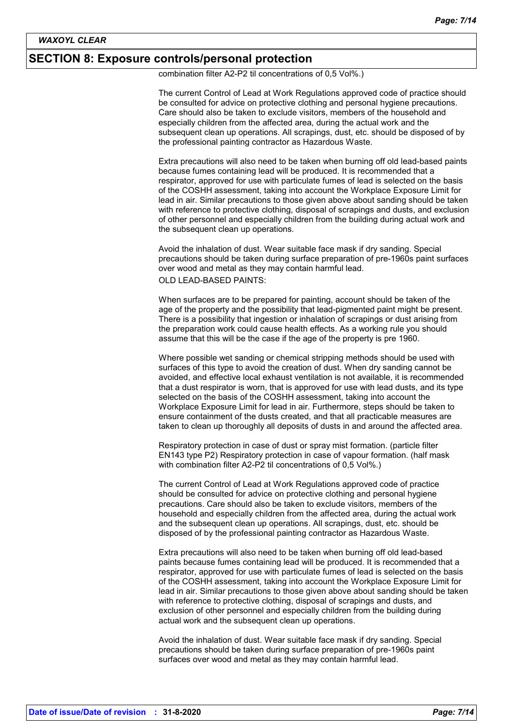### **SECTION 8: Exposure controls/personal protection**

combination filter A2-P2 til concentrations of 0,5 Vol%.)

The current Control of Lead at Work Regulations approved code of practice should be consulted for advice on protective clothing and personal hygiene precautions. Care should also be taken to exclude visitors, members of the household and especially children from the affected area, during the actual work and the subsequent clean up operations. All scrapings, dust, etc. should be disposed of by the professional painting contractor as Hazardous Waste.

Extra precautions will also need to be taken when burning off old lead-based paints because fumes containing lead will be produced. It is recommended that a respirator, approved for use with particulate fumes of lead is selected on the basis of the COSHH assessment, taking into account the Workplace Exposure Limit for lead in air. Similar precautions to those given above about sanding should be taken with reference to protective clothing, disposal of scrapings and dusts, and exclusion of other personnel and especially children from the building during actual work and the subsequent clean up operations.

Avoid the inhalation of dust. Wear suitable face mask if dry sanding. Special precautions should be taken during surface preparation of pre-1960s paint surfaces over wood and metal as they may contain harmful lead.

### OLD LEAD-BASED PAINTS:

When surfaces are to be prepared for painting, account should be taken of the age of the property and the possibility that lead-pigmented paint might be present. There is a possibility that ingestion or inhalation of scrapings or dust arising from the preparation work could cause health effects. As a working rule you should assume that this will be the case if the age of the property is pre 1960.

Where possible wet sanding or chemical stripping methods should be used with surfaces of this type to avoid the creation of dust. When dry sanding cannot be avoided, and effective local exhaust ventilation is not available, it is recommended that a dust respirator is worn, that is approved for use with lead dusts, and its type selected on the basis of the COSHH assessment, taking into account the Workplace Exposure Limit for lead in air. Furthermore, steps should be taken to ensure containment of the dusts created, and that all practicable measures are taken to clean up thoroughly all deposits of dusts in and around the affected area.

Respiratory protection in case of dust or spray mist formation. (particle filter EN143 type P2) Respiratory protection in case of vapour formation. (half mask with combination filter A2-P2 til concentrations of 0,5 Vol%.)

The current Control of Lead at Work Regulations approved code of practice should be consulted for advice on protective clothing and personal hygiene precautions. Care should also be taken to exclude visitors, members of the household and especially children from the affected area, during the actual work and the subsequent clean up operations. All scrapings, dust, etc. should be disposed of by the professional painting contractor as Hazardous Waste.

Extra precautions will also need to be taken when burning off old lead-based paints because fumes containing lead will be produced. It is recommended that a respirator, approved for use with particulate fumes of lead is selected on the basis of the COSHH assessment, taking into account the Workplace Exposure Limit for lead in air. Similar precautions to those given above about sanding should be taken with reference to protective clothing, disposal of scrapings and dusts, and exclusion of other personnel and especially children from the building during actual work and the subsequent clean up operations.

Avoid the inhalation of dust. Wear suitable face mask if dry sanding. Special precautions should be taken during surface preparation of pre-1960s paint surfaces over wood and metal as they may contain harmful lead.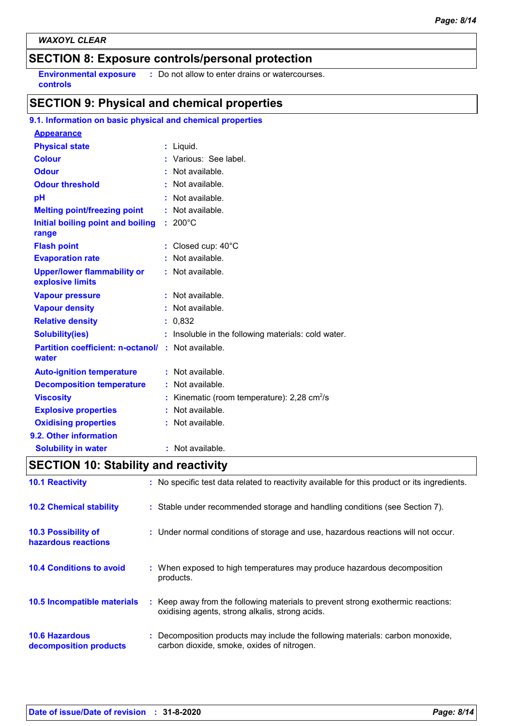# **SECTION 8: Exposure controls/personal protection**

**Environmental exposure : Do not allow to enter drains or watercourses. controls**

# **SECTION 9: Physical and chemical properties**

### **9.1. Information on basic physical and chemical properties**

| <b>Appearance</b>                                                 |    |                                                         |
|-------------------------------------------------------------------|----|---------------------------------------------------------|
| <b>Physical state</b>                                             |    | : Liquid.                                               |
| <b>Colour</b>                                                     |    | : Various: See label.                                   |
| <b>Odour</b>                                                      |    | $:$ Not available.                                      |
| <b>Odour threshold</b>                                            |    | Not available.                                          |
| pH                                                                |    | Not available.                                          |
| <b>Melting point/freezing point</b>                               |    | Not available.                                          |
| Initial boiling point and boiling<br>range                        |    | $: 200^{\circ}$ C                                       |
| <b>Flash point</b>                                                |    | : Closed cup: $40^{\circ}$ C                            |
| <b>Evaporation rate</b>                                           |    | Not available.                                          |
| <b>Upper/lower flammability or</b><br>explosive limits            |    | : Not available.                                        |
| <b>Vapour pressure</b>                                            |    | Not available.                                          |
| <b>Vapour density</b>                                             |    | Not available.                                          |
| <b>Relative density</b>                                           |    | 0,832                                                   |
| <b>Solubility(ies)</b>                                            |    | Insoluble in the following materials: cold water.       |
| <b>Partition coefficient: n-octanol/: Not available.</b><br>water |    |                                                         |
| <b>Auto-ignition temperature</b>                                  | ÷  | Not available.                                          |
| <b>Decomposition temperature</b>                                  |    | Not available.                                          |
| <b>Viscosity</b>                                                  |    | Kinematic (room temperature): $2,28$ cm <sup>2</sup> /s |
| <b>Explosive properties</b>                                       |    | Not available.                                          |
| <b>Oxidising properties</b>                                       |    | : Not available.                                        |
| 9.2. Other information                                            |    |                                                         |
| <b>Solubility in water</b>                                        | ř. | Not available.                                          |

# **SECTION 10: Stability and reactivity**

| <b>10.1 Reactivity</b>                            | : No specific test data related to reactivity available for this product or its ingredients.                                        |
|---------------------------------------------------|-------------------------------------------------------------------------------------------------------------------------------------|
| <b>10.2 Chemical stability</b>                    | : Stable under recommended storage and handling conditions (see Section 7).                                                         |
| <b>10.3 Possibility of</b><br>hazardous reactions | : Under normal conditions of storage and use, hazardous reactions will not occur.                                                   |
| <b>10.4 Conditions to avoid</b>                   | : When exposed to high temperatures may produce hazardous decomposition<br>products.                                                |
| <b>10.5 Incompatible materials</b>                | : Keep away from the following materials to prevent strong exothermic reactions:<br>oxidising agents, strong alkalis, strong acids. |
| <b>10.6 Hazardous</b><br>decomposition products   | : Decomposition products may include the following materials: carbon monoxide,<br>carbon dioxide, smoke, oxides of nitrogen.        |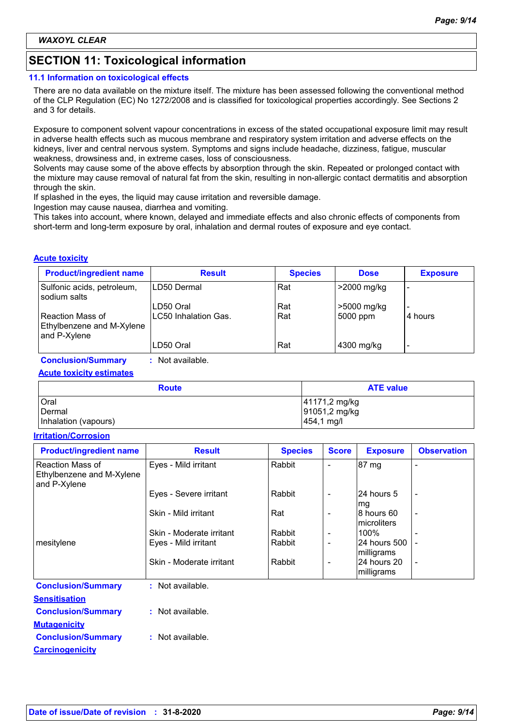# **SECTION 11: Toxicological information**

#### **11.1 Information on toxicological effects**

There are no data available on the mixture itself. The mixture has been assessed following the conventional method of the CLP Regulation (EC) No 1272/2008 and is classified for toxicological properties accordingly. See Sections 2 and 3 for details.

Exposure to component solvent vapour concentrations in excess of the stated occupational exposure limit may result in adverse health effects such as mucous membrane and respiratory system irritation and adverse effects on the kidneys, liver and central nervous system. Symptoms and signs include headache, dizziness, fatigue, muscular weakness, drowsiness and, in extreme cases, loss of consciousness.

Solvents may cause some of the above effects by absorption through the skin. Repeated or prolonged contact with the mixture may cause removal of natural fat from the skin, resulting in non-allergic contact dermatitis and absorption through the skin.

If splashed in the eyes, the liquid may cause irritation and reversible damage.

Ingestion may cause nausea, diarrhea and vomiting.

This takes into account, where known, delayed and immediate effects and also chronic effects of components from short-term and long-term exposure by oral, inhalation and dermal routes of exposure and eye contact.

#### **Acute toxicity**

| <b>Product/ingredient name</b>                                | <b>Result</b>                     | <b>Species</b> | <b>Dose</b>             | <b>Exposure</b>                     |
|---------------------------------------------------------------|-----------------------------------|----------------|-------------------------|-------------------------------------|
| Sulfonic acids, petroleum,<br>sodium salts                    | ILD50 Dermal                      | Rat            | $>2000$ mg/kg           | -                                   |
| Reaction Mass of<br>Ethylbenzene and M-Xylene<br>and P-Xylene | LD50 Oral<br>LC50 Inhalation Gas. | Rat<br>Rat     | >5000 mg/kg<br>5000 ppm | $\overline{\phantom{0}}$<br>4 hours |
|                                                               | LD50 Oral                         | Rat            | 4300 mg/kg              | -                                   |

**Conclusion/Summary :** Not available.

**Acute toxicity estimates**

| <b>Route</b>         | <b>ATE value</b>        |
|----------------------|-------------------------|
| Oral                 | 41171,2 mg/kg           |
| Dermal               | 91051,2 mg/kg           |
| Inhalation (vapours) | $ 454, 1 \text{ mg}/I $ |

#### **Irritation/Corrosion**

| <b>Product/ingredient name</b>                                | <b>Result</b>            | <b>Species</b> | <b>Score</b>             | <b>Exposure</b>            | <b>Observation</b>       |
|---------------------------------------------------------------|--------------------------|----------------|--------------------------|----------------------------|--------------------------|
| Reaction Mass of<br>Ethylbenzene and M-Xylene<br>and P-Xylene | Eyes - Mild irritant     | Rabbit         |                          | 87 mg                      |                          |
|                                                               | Eyes - Severe irritant   | Rabbit         | $\overline{\phantom{a}}$ | 24 hours 5<br>mg           |                          |
|                                                               | Skin - Mild irritant     | Rat            | $\overline{\phantom{a}}$ | 8 hours 60<br>microliters  |                          |
|                                                               | Skin - Moderate irritant | Rabbit         | $\overline{\phantom{a}}$ | 100%                       |                          |
| mesitylene                                                    | Eyes - Mild irritant     | Rabbit         | $\overline{\phantom{a}}$ | 24 hours 500<br>milligrams |                          |
|                                                               | Skin - Moderate irritant | Rabbit         | $\overline{\phantom{a}}$ | 24 hours 20<br>milligrams  | $\overline{\phantom{a}}$ |
| <b>Conclusion/Summary</b>                                     | : Not available.         |                |                          |                            |                          |
| <b>Sensitisation</b>                                          |                          |                |                          |                            |                          |
| <b>Conclusion/Summary</b>                                     | : Not available.         |                |                          |                            |                          |
| <b>Mutagenicity</b>                                           |                          |                |                          |                            |                          |
| <b>Conclusion/Summary</b>                                     | : Not available.         |                |                          |                            |                          |
| <b>Carcinogenicity</b>                                        |                          |                |                          |                            |                          |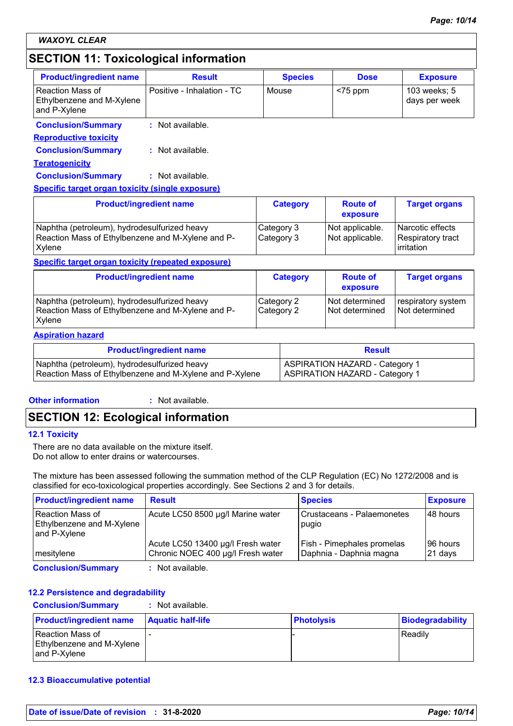# **SECTION 11: Toxicological information**

| <b>Product/ingredient name</b>                                | <b>Result</b>              | <b>Species</b> | <b>Dose</b> | <b>Exposure</b>               |
|---------------------------------------------------------------|----------------------------|----------------|-------------|-------------------------------|
| Reaction Mass of<br>Ethylbenzene and M-Xylene<br>and P-Xylene | Positive - Inhalation - TC | Mouse          | $<$ 75 ppm  | 103 weeks; 5<br>days per week |
| <b>Conclusion/Summary</b>                                     | : Not available.           |                |             |                               |
| <b>Reproductive toxicity</b>                                  |                            |                |             |                               |

**Teratogenicity Conclusion/Summary :** Not available. **Conclusion/Summary :** Not available.

#### **Specific target organ toxicity (single exposure)**

| <b>Product/ingredient name</b>                                                                                     | <b>Category</b>          | <b>Route of</b><br>exposure        | <b>Target organs</b>                                    |
|--------------------------------------------------------------------------------------------------------------------|--------------------------|------------------------------------|---------------------------------------------------------|
| Naphtha (petroleum), hydrodesulfurized heavy<br>Reaction Mass of Ethylbenzene and M-Xylene and P-<br><b>Xylene</b> | Category 3<br>Category 3 | Not applicable.<br>Not applicable. | l Narcotic effects<br>Respiratory tract<br>l irritation |

#### **Specific target organ toxicity (repeated exposure)**

| <b>Product/ingredient name</b>                                                                              | <b>Category</b>          | <b>Route of</b><br>exposure      | <b>Target organs</b>                 |
|-------------------------------------------------------------------------------------------------------------|--------------------------|----------------------------------|--------------------------------------|
| Naphtha (petroleum), hydrodesulfurized heavy<br>Reaction Mass of Ethylbenzene and M-Xylene and P-<br>Xvlene | Category 2<br>Category 2 | Not determined<br>Not determined | respiratory system<br>Not determined |

#### **Aspiration hazard**

| <b>Product/ingredient name</b>                          | <b>Result</b>                         |
|---------------------------------------------------------|---------------------------------------|
| Naphtha (petroleum), hydrodesulfurized heavy            | <b>ASPIRATION HAZARD - Category 1</b> |
| Reaction Mass of Ethylbenzene and M-Xylene and P-Xylene | <b>ASPIRATION HAZARD - Category 1</b> |

#### **Other information :**

: Not available.

# **SECTION 12: Ecological information**

#### **12.1 Toxicity**

There are no data available on the mixture itself. Do not allow to enter drains or watercourses.

The mixture has been assessed following the summation method of the CLP Regulation (EC) No 1272/2008 and is classified for eco-toxicological properties accordingly. See Sections 2 and 3 for details.

| <b>Product/ingredient name</b>                                         | <b>Result</b>                                                          | <b>Species</b>                                        | <b>Exposure</b>     |
|------------------------------------------------------------------------|------------------------------------------------------------------------|-------------------------------------------------------|---------------------|
| l Reaction Mass of<br><b>Ethylbenzene and M-Xylene</b><br>and P-Xylene | Acute LC50 8500 µg/l Marine water                                      | Crustaceans - Palaemonetes<br>pugio                   | 48 hours            |
| mesitylene                                                             | Acute LC50 13400 µg/l Fresh water<br>Chronic NOEC 400 µg/l Fresh water | Fish - Pimephales promelas<br>Daphnia - Daphnia magna | 96 hours<br>21 days |
| <b>Conclusion/Summary</b>                                              | : Not available.                                                       |                                                       |                     |

#### **12.2 Persistence and degradability**

**Conclusion/Summary :** Not available.

| <b>Product/ingredient name</b>                                | <b>Aquatic half-life</b> | <b>Photolysis</b> | <b>Biodegradability</b> |
|---------------------------------------------------------------|--------------------------|-------------------|-------------------------|
| Reaction Mass of<br>Ethylbenzene and M-Xylene<br>and P-Xvlene |                          |                   | l Readilv               |

#### **12.3 Bioaccumulative potential**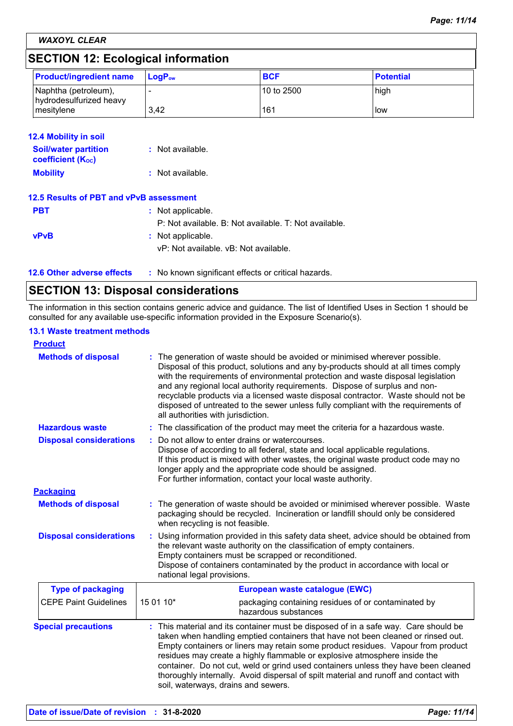*WAXOYL CLEAR*

# **SECTION 12: Ecological information**

| <b>Product/ingredient name</b>                  | $ $ LogP <sub>ow</sub> | <b>BCF</b>   | <b>Potential</b> |
|-------------------------------------------------|------------------------|--------------|------------------|
| Naphtha (petroleum),<br>hydrodesulfurized heavy |                        | l 10 to 2500 | high             |
| mesitylene                                      | 3.42                   | 161          | <b>I</b> low     |

| <b>12.4 Mobility in soil</b>                            |                                                       |
|---------------------------------------------------------|-------------------------------------------------------|
| <b>Soil/water partition</b><br><b>coefficient (Koc)</b> | : Not available.                                      |
| <b>Mobility</b>                                         | $:$ Not available.                                    |
| 12.5 Results of PBT and vPvB assessment                 |                                                       |
| <b>PBT</b>                                              | : Not applicable.                                     |
|                                                         | P: Not available. B: Not available. T: Not available. |
| <b>vPvB</b>                                             | : Not applicable.                                     |
|                                                         | vP: Not available, vB: Not available.                 |

| <b>12.6 Other adverse effects</b><br>: No known significant effects or critical hazards. |  |
|------------------------------------------------------------------------------------------|--|
|------------------------------------------------------------------------------------------|--|

# **SECTION 13: Disposal considerations**

The information in this section contains generic advice and guidance. The list of Identified Uses in Section 1 should be consulted for any available use-specific information provided in the Exposure Scenario(s).

#### **13.1 Waste treatment methods**

| <b>Product</b>                 |                                                                                                                                                                                                                                                                                                                                                                                                                                                                                                                                                             |  |
|--------------------------------|-------------------------------------------------------------------------------------------------------------------------------------------------------------------------------------------------------------------------------------------------------------------------------------------------------------------------------------------------------------------------------------------------------------------------------------------------------------------------------------------------------------------------------------------------------------|--|
| <b>Methods of disposal</b>     | The generation of waste should be avoided or minimised wherever possible.<br>Disposal of this product, solutions and any by-products should at all times comply<br>with the requirements of environmental protection and waste disposal legislation<br>and any regional local authority requirements. Dispose of surplus and non-<br>recyclable products via a licensed waste disposal contractor. Waste should not be<br>disposed of untreated to the sewer unless fully compliant with the requirements of<br>all authorities with jurisdiction.          |  |
| <b>Hazardous waste</b>         | The classification of the product may meet the criteria for a hazardous waste.                                                                                                                                                                                                                                                                                                                                                                                                                                                                              |  |
| <b>Disposal considerations</b> | Do not allow to enter drains or watercourses.<br>Dispose of according to all federal, state and local applicable regulations.<br>If this product is mixed with other wastes, the original waste product code may no<br>longer apply and the appropriate code should be assigned.<br>For further information, contact your local waste authority.                                                                                                                                                                                                            |  |
| <b>Packaging</b>               |                                                                                                                                                                                                                                                                                                                                                                                                                                                                                                                                                             |  |
| <b>Methods of disposal</b>     | : The generation of waste should be avoided or minimised wherever possible. Waste<br>packaging should be recycled. Incineration or landfill should only be considered<br>when recycling is not feasible.                                                                                                                                                                                                                                                                                                                                                    |  |
| <b>Disposal considerations</b> | Using information provided in this safety data sheet, advice should be obtained from<br>the relevant waste authority on the classification of empty containers.<br>Empty containers must be scrapped or reconditioned.<br>Dispose of containers contaminated by the product in accordance with local or<br>national legal provisions.                                                                                                                                                                                                                       |  |
| <b>Type of packaging</b>       | European waste catalogue (EWC)                                                                                                                                                                                                                                                                                                                                                                                                                                                                                                                              |  |
| <b>CEPE Paint Guidelines</b>   | 15 01 10*<br>packaging containing residues of or contaminated by<br>hazardous substances                                                                                                                                                                                                                                                                                                                                                                                                                                                                    |  |
| <b>Special precautions</b>     | This material and its container must be disposed of in a safe way. Care should be<br>taken when handling emptied containers that have not been cleaned or rinsed out.<br>Empty containers or liners may retain some product residues. Vapour from product<br>residues may create a highly flammable or explosive atmosphere inside the<br>container. Do not cut, weld or grind used containers unless they have been cleaned<br>thoroughly internally. Avoid dispersal of spilt material and runoff and contact with<br>soil, waterways, drains and sewers. |  |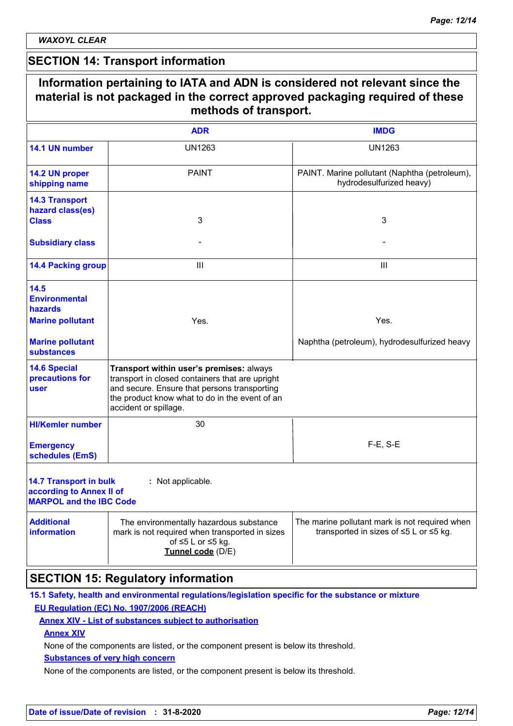$\mathsf{r}$ 

### **SECTION 14: Transport information**

|                                                                                             | methods of transport.                                                                                                                                                                                                  |                                                                                          |
|---------------------------------------------------------------------------------------------|------------------------------------------------------------------------------------------------------------------------------------------------------------------------------------------------------------------------|------------------------------------------------------------------------------------------|
|                                                                                             | <b>ADR</b>                                                                                                                                                                                                             | <b>IMDG</b>                                                                              |
| 14.1 UN number                                                                              | <b>UN1263</b>                                                                                                                                                                                                          | <b>UN1263</b>                                                                            |
| 14.2 UN proper<br>shipping name                                                             | <b>PAINT</b>                                                                                                                                                                                                           | PAINT. Marine pollutant (Naphtha (petroleum),<br>hydrodesulfurized heavy)                |
| <b>14.3 Transport</b><br>hazard class(es)<br><b>Class</b>                                   | 3                                                                                                                                                                                                                      | 3                                                                                        |
| <b>Subsidiary class</b>                                                                     |                                                                                                                                                                                                                        |                                                                                          |
| <b>14.4 Packing group</b>                                                                   | Ш                                                                                                                                                                                                                      | Ш                                                                                        |
| 14.5<br><b>Environmental</b><br><b>hazards</b>                                              |                                                                                                                                                                                                                        |                                                                                          |
| <b>Marine pollutant</b>                                                                     | Yes.                                                                                                                                                                                                                   | Yes.                                                                                     |
| <b>Marine pollutant</b><br><b>substances</b>                                                |                                                                                                                                                                                                                        | Naphtha (petroleum), hydrodesulfurized heavy                                             |
| <b>14.6 Special</b><br>precautions for<br>user                                              | Transport within user's premises: always<br>transport in closed containers that are upright<br>and secure. Ensure that persons transporting<br>the product know what to do in the event of an<br>accident or spillage. |                                                                                          |
| <b>HI/Kemler number</b>                                                                     | 30                                                                                                                                                                                                                     |                                                                                          |
| <b>Emergency</b><br>schedules (EmS)                                                         |                                                                                                                                                                                                                        | $F-E$ , S-E                                                                              |
| <b>14.7 Transport in bulk</b><br>according to Annex II of<br><b>MARPOL and the IBC Code</b> | : Not applicable.                                                                                                                                                                                                      |                                                                                          |
| <b>Additional</b><br><b>information</b>                                                     | The environmentally hazardous substance<br>mark is not required when transported in sizes<br>of $\leq 5$ L or $\leq 5$ kg.<br>Tunnel code (D/E)                                                                        | The marine pollutant mark is not required when<br>transported in sizes of ≤5 L or ≤5 kg. |

### **SECTION 15: Regulatory information 15.1 Safety, health and environmental regulations/legislation specific for the substance or mixture**

### **EU Regulation (EC) No. 1907/2006 (REACH)**

#### **Annex XIV - List of substances subject to authorisation**

#### **Annex XIV**

None of the components are listed, or the component present is below its threshold.

### **Substances of very high concern**

None of the components are listed, or the component present is below its threshold.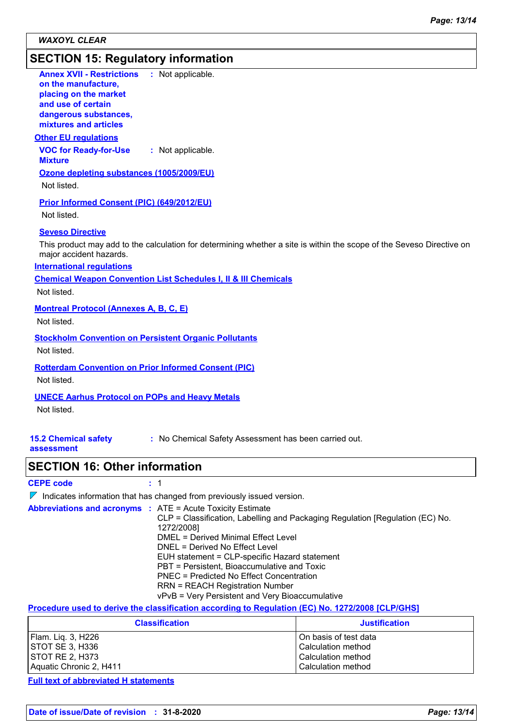# **SECTION 15: Regulatory information**

| <b>Annex XVII - Restrictions</b><br>: Not applicable.<br>on the manufacture,<br>placing on the market<br>and use of certain<br>dangerous substances,<br>mixtures and articles                                                                                                                                |
|--------------------------------------------------------------------------------------------------------------------------------------------------------------------------------------------------------------------------------------------------------------------------------------------------------------|
| <b>Other EU regulations</b>                                                                                                                                                                                                                                                                                  |
| <b>VOC for Ready-for-Use</b><br>: Not applicable.<br><b>Mixture</b>                                                                                                                                                                                                                                          |
| Ozone depleting substances (1005/2009/EU)<br>Not listed.                                                                                                                                                                                                                                                     |
| Prior Informed Consent (PIC) (649/2012/EU)<br>Not listed.                                                                                                                                                                                                                                                    |
| <b>Seveso Directive</b><br>This product may add to the calculation for determining whether a site is within the scope of the Seveso Directive on<br>major accident hazards.<br><b>International requlations</b><br><b>Chemical Weapon Convention List Schedules I, II &amp; III Chemicals</b><br>Not listed. |
| <b>Montreal Protocol (Annexes A, B, C, E)</b><br>Not listed.                                                                                                                                                                                                                                                 |
| <b>Stockholm Convention on Persistent Organic Pollutants</b><br>Not listed.                                                                                                                                                                                                                                  |
| <b>Rotterdam Convention on Prior Informed Consent (PIC)</b><br>Not listed.                                                                                                                                                                                                                                   |
| <b>UNECE Aarhus Protocol on POPs and Heavy Metals</b><br>Not listed.                                                                                                                                                                                                                                         |
| <b>15.2 Chemical safety</b><br>: No Chemical Safety Assessment has been carried out.<br>assessment                                                                                                                                                                                                           |

## **SECTION 16: Other information**

### **CEPE code :** 1

 $\nabla$  Indicates information that has changed from previously issued version.

**Abbreviations and acronyms :** ATE = Acute Toxicity Estimate CLP = Classification, Labelling and Packaging Regulation [Regulation (EC) No. 1272/2008] DMEL = Derived Minimal Effect Level DNEL = Derived No Effect Level EUH statement = CLP-specific Hazard statement PBT = Persistent, Bioaccumulative and Toxic PNEC = Predicted No Effect Concentration RRN = REACH Registration Number vPvB = Very Persistent and Very Bioaccumulative

**Procedure used to derive the classification according to Regulation (EC) No. 1272/2008 [CLP/GHS]**

| <b>Classification</b>   | <b>Justification</b>    |
|-------------------------|-------------------------|
| Flam. Lig. 3, H226      | l On basis of test data |
| <b>STOT SE 3, H336</b>  | l Calculation method    |
| <b>ISTOT RE 2. H373</b> | l Calculation method    |
| Aquatic Chronic 2, H411 | l Calculation method    |

**Full text of abbreviated H statements**